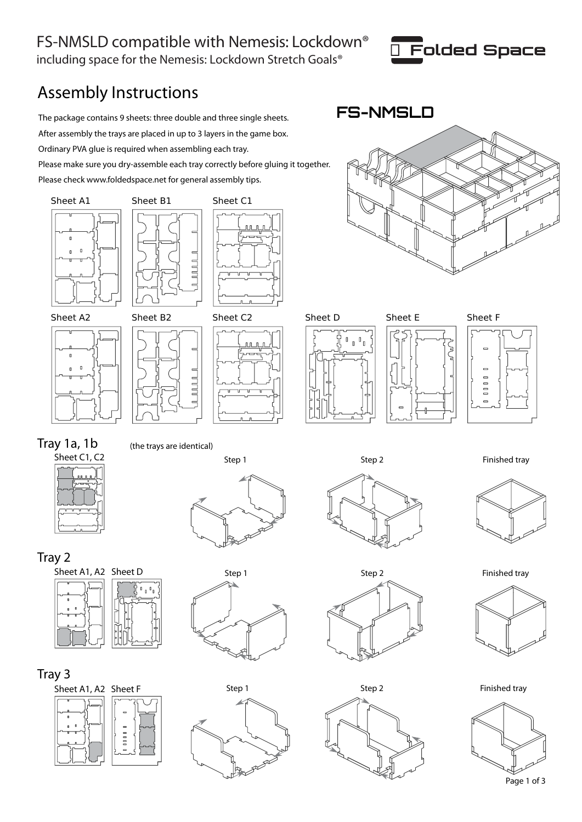## FS-NMSLD compatible with Nemesis: Lockdown® including space for the Nemesis: Lockdown Stretch Goals®



## Assembly Instructions

The package contains 9 sheets: three double and three single sheets. **FS-NMSLD** After assembly the trays are placed in up to 3 layers in the game box. Ordinary PVA glue is required when assembling each tray. Please make sure you dry-assemble each tray correctly before gluing it together. Please check www.foldedspace.net for general assembly tips.





















Tray 1a, 1b



(the trays are identical)





















Step 1 Step 2 Step 2 Finished tray





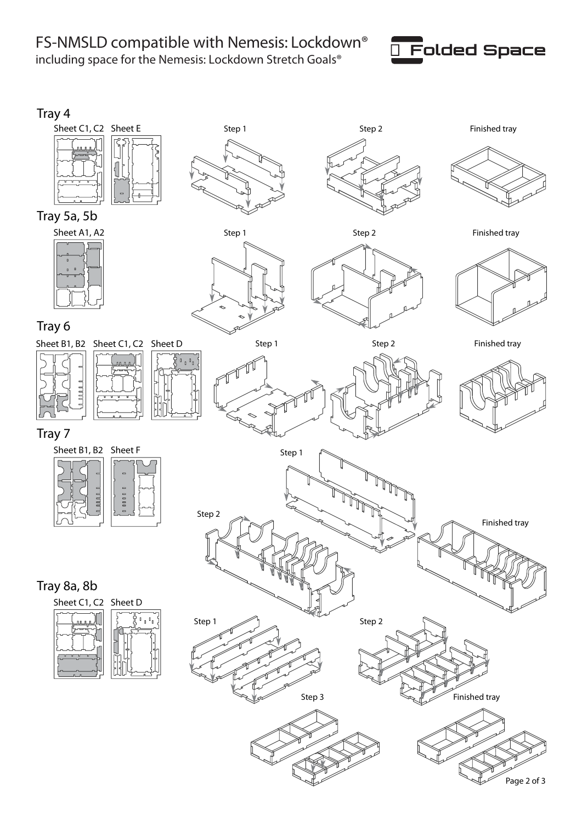FS-NMSLD compatible with Nemesis: Lockdown® including space for the Nemesis: Lockdown Stretch Goals®